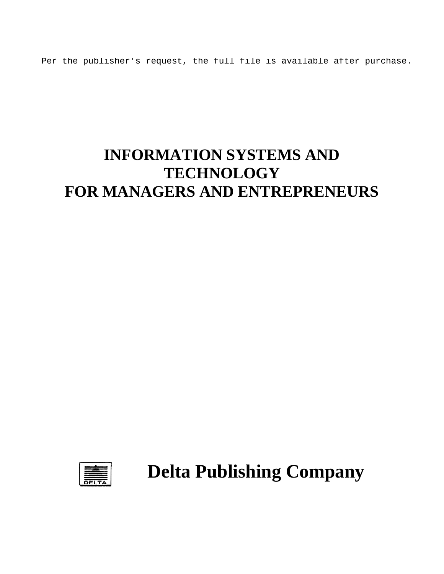Per the publisher's request, the full file is available after purchase.

# **INFORMATION SYSTEMS AND TECHNOLOGY FOR MANAGERS AND ENTREPRENEURS**



**Delta Publishing Company**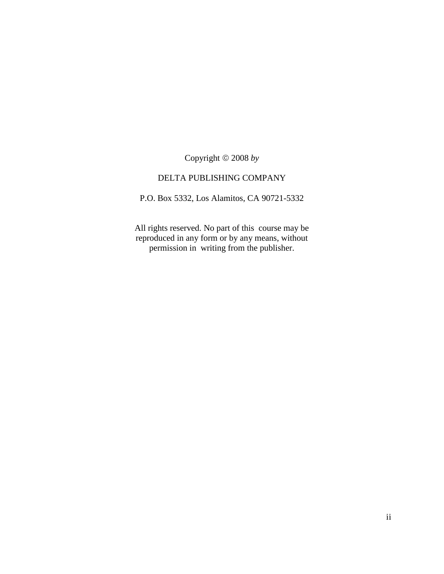Copyright 2008 *by*

#### DELTA PUBLISHING COMPANY

P.O. Box 5332, Los Alamitos, CA 90721-5332

All rights reserved. No part of this course may be reproduced in any form or by any means, without permission in writing from the publisher.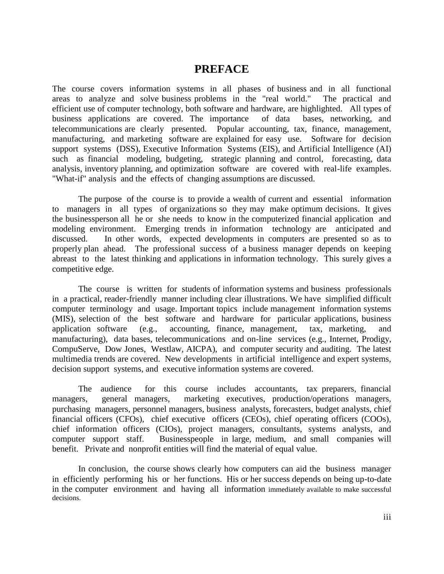### **PREFACE**

The course covers information systems in all phases of business and in all functional areas to analyze and solve business problems in the "real world." The practical and efficient use of computer technology, both software and hardware, are highlighted. All types of business applications are covered. The importance of data bases, networking, and telecommunications are clearly presented. Popular accounting, tax, finance, management, manufacturing, and marketing software are explained for easy use. Software for decision support systems (DSS), Executive Information Systems (EIS), and Artificial Intelligence (AI) such as financial modeling, budgeting, strategic planning and control, forecasting, data analysis, inventory planning, and optimization software are covered with real-life examples. "What-if" analysis and the effects of changing assumptions are discussed.

The purpose of the course is to provide a wealth of current and essential information to managers in all types of organizations so they may make optimum decisions. It gives the businessperson all he or she needs to know in the computerized financial application and modeling environment. Emerging trends in information technology are anticipated and discussed. In other words, expected developments in computers are presented so as to properly plan ahead. The professional success of a business manager depends on keeping abreast to the latest thinking and applications in information technology. This surely gives a competitive edge.

The course is written for students of information systems and business professionals in a practical, reader-friendly manner including clear illustrations. We have simplified difficult computer terminology and usage. Important topics include management information systems (MIS), selection of the best software and hardware for particular applications, business application software (e.g., accounting, finance, management, tax, marketing, and manufacturing), data bases, telecommunications and on-line services (e.g., Internet, Prodigy, CompuServe, Dow Jones, Westlaw, AICPA), and computer security and auditing. The latest multimedia trends are covered. New developments in artificial intelligence and expert systems, decision support systems, and executive information systems are covered.

The audience for this course includes accountants, tax preparers, financial managers, general managers, marketing executives, production/operations managers, purchasing managers, personnel managers, business analysts, forecasters, budget analysts, chief financial officers (CFOs), chief executive officers (CEOs), chief operating officers (COOs), chief information officers (CIOs), project managers, consultants, systems analysts, and computer support staff. Businesspeople in large, medium, and small companies will benefit. Private and nonprofit entities will find the material of equal value.

In conclusion, the course shows clearly how computers can aid the business manager in efficiently performing his or her functions. His or her success depends on being up-to-date in the computer environment and having all information immediately available to make successful decisions.